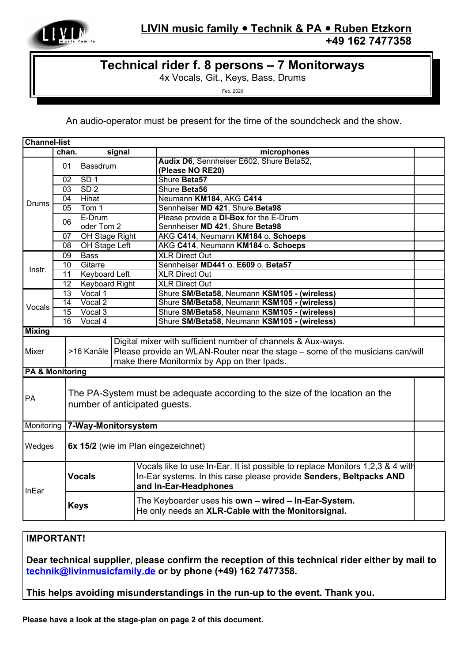

## **Technical rider f. 8 persons – 7 Monitorways**

4x Vocals, Git., Keys, Bass, Drums

Feb. 2020

An audio-operator must be present for the time of the soundcheck and the show.

| <b>Channel-list</b>        |                                   |                                     |  |                                                                                            |  |
|----------------------------|-----------------------------------|-------------------------------------|--|--------------------------------------------------------------------------------------------|--|
|                            | chan.                             | signal                              |  | microphones                                                                                |  |
| Drums                      | 01                                | Bassdrum                            |  | Audix D6, Sennheiser E602, Shure Beta52,                                                   |  |
|                            |                                   |                                     |  | (Please NO RE20)                                                                           |  |
|                            | 02                                | SD <sub>1</sub>                     |  | Shure Beta57                                                                               |  |
|                            | $\overline{03}$                   | SD <sub>2</sub>                     |  | Shure Beta56                                                                               |  |
|                            | 04                                | Hihat                               |  | Neumann KM184, AKG C414                                                                    |  |
|                            | 05                                | Tom 1                               |  | Sennheiser MD 421, Shure Beta98                                                            |  |
|                            | 06                                | E-Drum                              |  | Please provide a DI-Box for the E-Drum                                                     |  |
|                            |                                   | oder Tom 2                          |  | Sennheiser MD 421, Shure Beta98                                                            |  |
|                            | 07                                | <b>OH Stage Right</b>               |  | AKG C414, Neumann KM184 o. Schoeps                                                         |  |
|                            | $\overline{08}$                   | <b>OH Stage Left</b>                |  | AKG C414, Neumann KM184 o. Schoeps                                                         |  |
| Instr.                     | 09                                | <b>Bass</b>                         |  | <b>XLR Direct Out</b>                                                                      |  |
|                            | 10                                | Gitarre                             |  | Sennheiser MD441 o. E609 o. Beta57                                                         |  |
|                            | 11                                | <b>Keyboard Left</b>                |  | <b>XLR Direct Out</b>                                                                      |  |
|                            | 12                                | <b>Keyboard Right</b>               |  | <b>XLR Direct Out</b>                                                                      |  |
| Vocals                     | 13                                | Vocal 1                             |  | Shure SM/Beta58, Neumann KSM105 - (wireless)                                               |  |
|                            | 14                                | Vocal 2                             |  | Shure SM/Beta58, Neumann KSM105 - (wireless)                                               |  |
|                            | $\overline{15}$                   | Vocal 3                             |  | Shure SM/Beta58, Neumann KSM105 - (wireless)                                               |  |
|                            | 16                                | Vocal 4                             |  | Shure SM/Beta58, Neumann KSM105 - (wireless)                                               |  |
| <b>Mixing</b>              |                                   |                                     |  |                                                                                            |  |
|                            |                                   |                                     |  | Digital mixer with sufficient number of channels & Aux-ways.                               |  |
| Mixer                      |                                   |                                     |  | >16 Kanäle   Please provide an WLAN-Router near the stage – some of the musicians can/will |  |
|                            |                                   |                                     |  | make there Monitormix by App on ther Ipads.                                                |  |
| <b>PA &amp; Monitoring</b> |                                   |                                     |  |                                                                                            |  |
|                            |                                   |                                     |  |                                                                                            |  |
|                            |                                   |                                     |  |                                                                                            |  |
| PA                         |                                   |                                     |  | The PA-System must be adequate according to the size of the location an the                |  |
|                            |                                   | number of anticipated quests.       |  |                                                                                            |  |
|                            |                                   |                                     |  |                                                                                            |  |
|                            | Monitoring<br>7-Way-Monitorsystem |                                     |  |                                                                                            |  |
|                            |                                   |                                     |  |                                                                                            |  |
| Wedges                     |                                   | 6x 15/2 (wie im Plan eingezeichnet) |  |                                                                                            |  |
|                            |                                   |                                     |  |                                                                                            |  |
|                            |                                   | <b>Vocals</b>                       |  | Vocals like to use In-Ear. It ist possible to replace Monitors 1,2,3 & 4 with              |  |
|                            |                                   |                                     |  | In-Ear systems. In this case please provide Senders, Beltpacks AND                         |  |
|                            |                                   |                                     |  | and In-Ear-Headphones                                                                      |  |
| InEar                      |                                   |                                     |  |                                                                                            |  |
|                            |                                   | <b>Keys</b>                         |  | The Keyboarder uses his own - wired - In-Ear-System.                                       |  |
|                            |                                   |                                     |  | He only needs an XLR-Cable with the Monitorsignal.                                         |  |
|                            |                                   |                                     |  |                                                                                            |  |

## **IMPORTANT!**

**Dear technical supplier, please confirm the reception of this technical rider either by mail to [technik@livinmusicfamily.de](mailto:technik@livinmusicfamily.de) or by phone (+49) 162 7477358.**

**This helps avoiding misunderstandings in the run-up to the event. Thank you.**

**Please have a look at the stage-plan on page 2 of this document.**